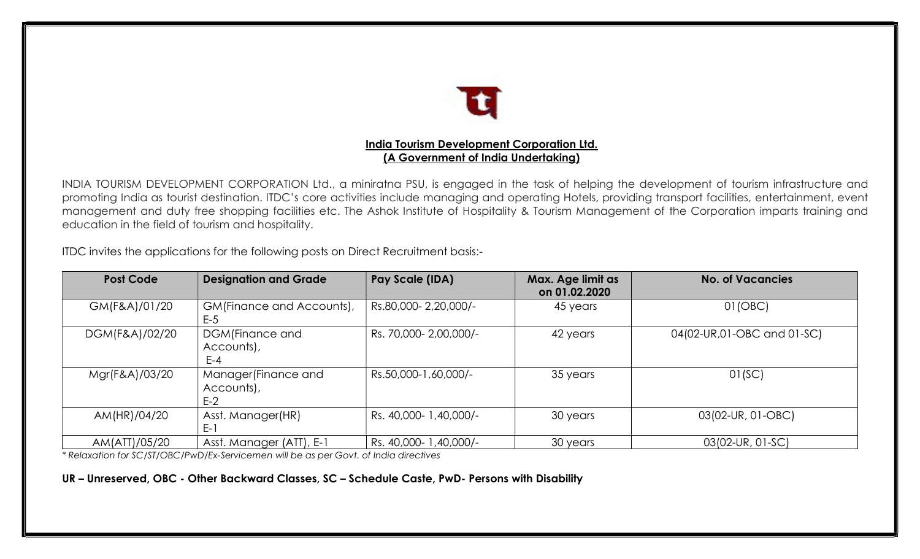

INDIA TOURISM DEVELOPMENT CORPORATION Ltd., a miniratna PSU, is engaged in the task of helping the development of tourism infrastructure and promoting India as tourist destination. ITDC's core activities include managing and operating Hotels, providing transport facilities, entertainment, event management and duty free shopping facilities etc. The Ashok Institute of Hospitality & Tourism Management of the Corporation imparts training and education in the field of tourism and hospitality.

ITDC invites the applications for the following posts on Direct Recruitment basis:-

| <b>Post Code</b> | <b>Designation and Grade</b>                | Pay Scale (IDA)        | Max. Age limit as<br>on 01.02.2020 | <b>No. of Vacancies</b>     |
|------------------|---------------------------------------------|------------------------|------------------------------------|-----------------------------|
| GM(F&A)/01/20    | GM(Finance and Accounts),<br>$E-5$          | Rs.80,000-2,20,000/-   | 45 years                           | 01(OBC)                     |
| DGM(F&A)/02/20   | DGM(Finance and<br>Accounts),<br>E-4        | Rs. 70,000-2,00,000/-  | 42 years                           | 04(02-UR, 01-OBC and 01-SC) |
| Mgr(F&A)/03/20   | Manager (Finance and<br>Accounts),<br>$E-2$ | Rs.50,000-1,60,000/-   | 35 years                           | 01(SC)                      |
| AM(HR)/04/20     | Asst. Manager(HR)<br>E-1                    | Rs. 40,000- 1,40,000/- | 30 years                           | 03(02-UR, 01-OBC)           |
| AM(ATT)/05/20    | Asst. Manager (ATT), E-1                    | Rs. 40,000- 1,40,000/- | 30 years                           | 03(02-UR, 01-SC)            |

\* Relaxation for SC/ST/OBC/PwD/Ex-Servicemen will be as per Govt. of India directives

UR – Unreserved, OBC - Other Backward Classes, SC – Schedule Caste, PwD- Persons with Disability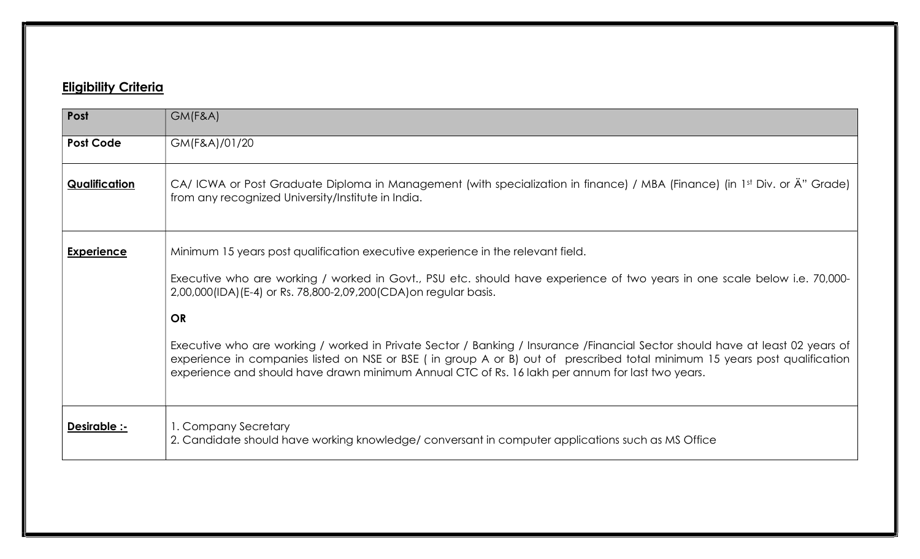## **Eligibility Criteria**

| Post              | GM(F&A)                                                                                                                                                                                                                                                                                                                                                         |
|-------------------|-----------------------------------------------------------------------------------------------------------------------------------------------------------------------------------------------------------------------------------------------------------------------------------------------------------------------------------------------------------------|
| <b>Post Code</b>  | GM(F&A)/01/20                                                                                                                                                                                                                                                                                                                                                   |
| Qualification     | CA/ ICWA or Post Graduate Diploma in Management (with specialization in finance) / MBA (Finance) (in 1st Div. or Ä" Grade)<br>from any recognized University/Institute in India.                                                                                                                                                                                |
| <b>Experience</b> | Minimum 15 years post qualification executive experience in the relevant field.                                                                                                                                                                                                                                                                                 |
|                   | Executive who are working / worked in Govt., PSU etc. should have experience of two years in one scale below i.e. 70,000-<br>2,00,000(IDA)(E-4) or Rs. 78,800-2,09,200(CDA)on regular basis.                                                                                                                                                                    |
|                   | <b>OR</b>                                                                                                                                                                                                                                                                                                                                                       |
|                   | Executive who are working / worked in Private Sector / Banking / Insurance /Financial Sector should have at least 02 years of<br>experience in companies listed on NSE or BSE (in group A or B) out of prescribed total minimum 15 years post qualification<br>experience and should have drawn minimum Annual CTC of Rs. 16 lakh per annum for last two years. |
| Desirable :-      | 1. Company Secretary<br>2. Candidate should have working knowledge/conversant in computer applications such as MS Office                                                                                                                                                                                                                                        |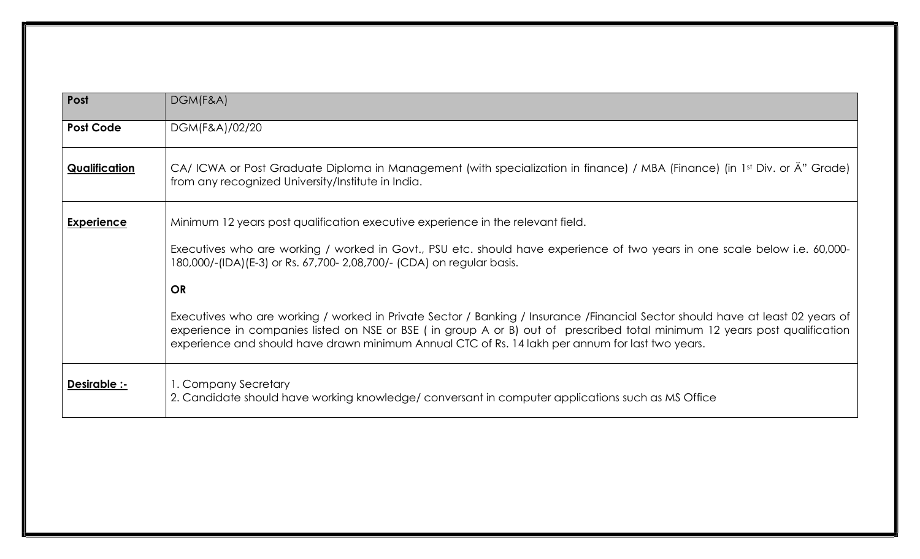| Post              | DGM(F&A)                                                                                                                                                                                                                                                                                                                                                         |
|-------------------|------------------------------------------------------------------------------------------------------------------------------------------------------------------------------------------------------------------------------------------------------------------------------------------------------------------------------------------------------------------|
| <b>Post Code</b>  | DGM(F&A)/02/20                                                                                                                                                                                                                                                                                                                                                   |
| Qualification     | CA/ ICWA or Post Graduate Diploma in Management (with specialization in finance) / MBA (Finance) (in 1st Div. or Ä" Grade)<br>from any recognized University/Institute in India.                                                                                                                                                                                 |
| <b>Experience</b> | Minimum 12 years post qualification executive experience in the relevant field.                                                                                                                                                                                                                                                                                  |
|                   | Executives who are working / worked in Govt., PSU etc. should have experience of two years in one scale below i.e. 60,000-<br>180,000/-(IDA)(E-3) or Rs. 67,700-2,08,700/- (CDA) on regular basis.                                                                                                                                                               |
|                   | <b>OR</b>                                                                                                                                                                                                                                                                                                                                                        |
|                   | Executives who are working / worked in Private Sector / Banking / Insurance /Financial Sector should have at least 02 years of<br>experience in companies listed on NSE or BSE (in group A or B) out of prescribed total minimum 12 years post qualification<br>experience and should have drawn minimum Annual CTC of Rs. 14 lakh per annum for last two years. |
| Desirable :-      | 1. Company Secretary<br>2. Candidate should have working knowledge/conversant in computer applications such as MS Office                                                                                                                                                                                                                                         |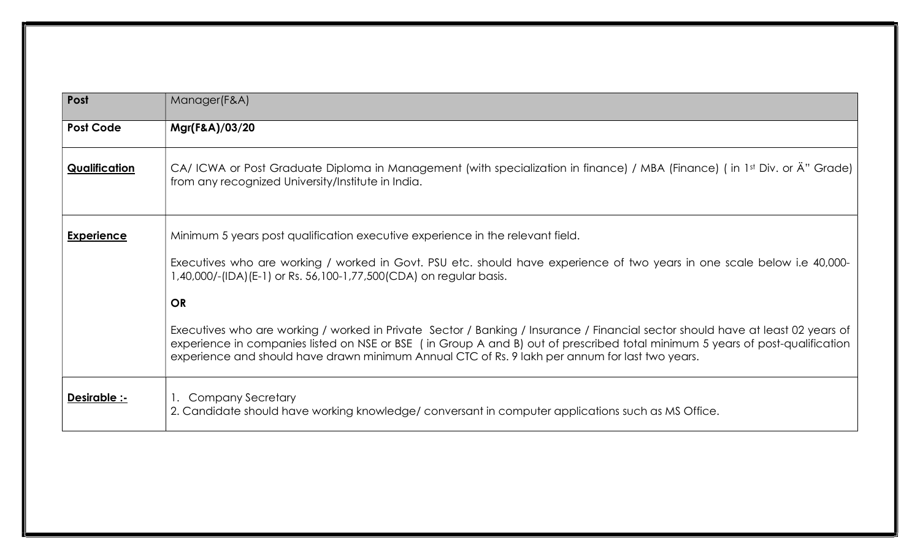| Post              | Manager(F&A)                                                                                                                                                                                                                                                                                                                                                        |
|-------------------|---------------------------------------------------------------------------------------------------------------------------------------------------------------------------------------------------------------------------------------------------------------------------------------------------------------------------------------------------------------------|
| <b>Post Code</b>  | Mgr(F&A)/03/20                                                                                                                                                                                                                                                                                                                                                      |
| Qualification     | CA/ICWA or Post Graduate Diploma in Management (with specialization in finance) / MBA (Finance) (in 1st Div. or Ä" Grade)<br>from any recognized University/Institute in India.                                                                                                                                                                                     |
| <b>Experience</b> | Minimum 5 years post qualification executive experience in the relevant field.<br>Executives who are working / worked in Govt. PSU etc. should have experience of two years in one scale below i.e 40,000-                                                                                                                                                          |
|                   | 1,40,000/-(IDA)(E-1) or Rs. 56,100-1,77,500(CDA) on regular basis.                                                                                                                                                                                                                                                                                                  |
|                   | <b>OR</b>                                                                                                                                                                                                                                                                                                                                                           |
|                   | Executives who are working / worked in Private Sector / Banking / Insurance / Financial sector should have at least 02 years of<br>experience in companies listed on NSE or BSE (in Group A and B) out of prescribed total minimum 5 years of post-qualification<br>experience and should have drawn minimum Annual CTC of Rs. 9 lakh per annum for last two years. |
| Desirable :-      | 1. Company Secretary<br>2. Candidate should have working knowledge/conversant in computer applications such as MS Office.                                                                                                                                                                                                                                           |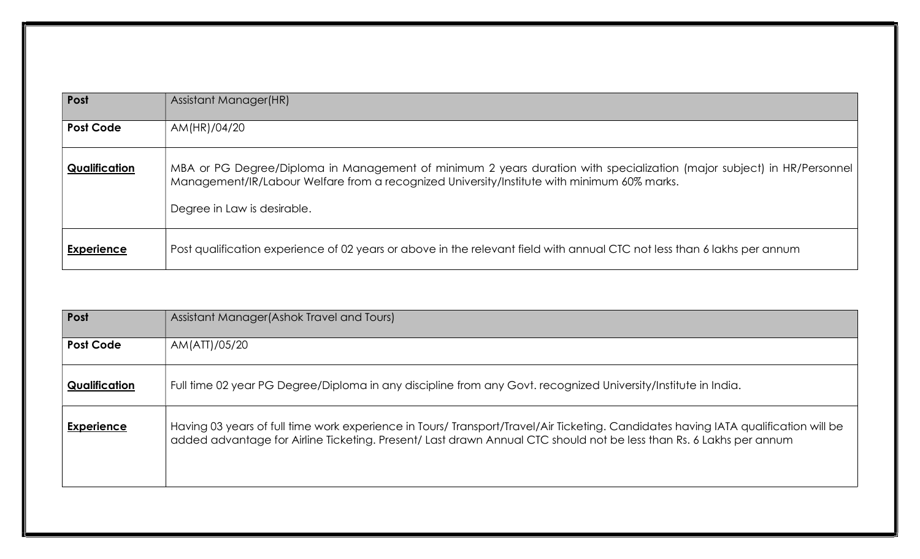| Post              | Assistant Manager(HR)                                                                                                                                                                                                                                |
|-------------------|------------------------------------------------------------------------------------------------------------------------------------------------------------------------------------------------------------------------------------------------------|
| <b>Post Code</b>  | AM(HR)/04/20                                                                                                                                                                                                                                         |
| Qualification     | MBA or PG Degree/Diploma in Management of minimum 2 years duration with specialization (major subject) in HR/Personnel<br>Management/IR/Labour Welfare from a recognized University/Institute with minimum 60% marks.<br>Degree in Law is desirable. |
| <b>Experience</b> | Post qualification experience of 02 years or above in the relevant field with annual CTC not less than 6 lakhs per annum                                                                                                                             |

| Post              | Assistant Manager (Ashok Travel and Tours)                                                                                                                                                                                                                 |
|-------------------|------------------------------------------------------------------------------------------------------------------------------------------------------------------------------------------------------------------------------------------------------------|
| <b>Post Code</b>  | AM(ATT)/05/20                                                                                                                                                                                                                                              |
| Qualification     | Full time 02 year PG Degree/Diploma in any discipline from any Govt. recognized University/Institute in India.                                                                                                                                             |
| <b>Experience</b> | Having 03 years of full time work experience in Tours/ Transport/Travel/Air Ticketing. Candidates having IATA qualification will be<br>added advantage for Airline Ticketing. Present/ Last drawn Annual CTC should not be less than Rs. 6 Lakhs per annum |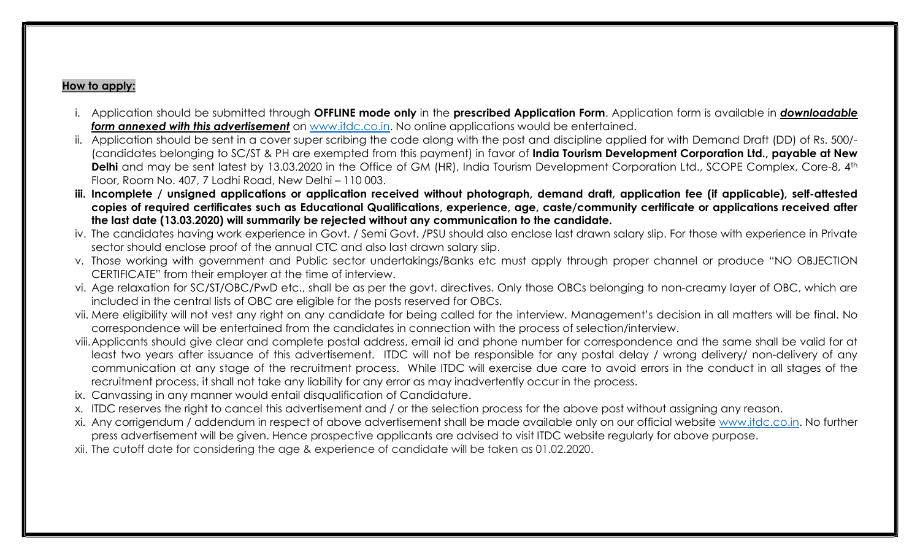## How to apply:

- i. Application should be submitted through OFFLINE mode only in the prescribed Application Form. Application form is available in downloadable form annexed with this advertisement on www.itdc.co.in. No online applications would be entertained.
- ii. Application should be sent in a cover super scribing the code along with the post and discipline applied for with Demand Draft (DD) of Rs. 500/-(candidates belonging to SC/ST & PH are exempted from this payment) in favor of **India Tourism Development Corporation Ltd., payable at New** Delhi and may be sent latest by 13.03.2020 in the Office of GM (HR), India Tourism Development Corporation Ltd., SCOPE Complex, Core-8, 4th Floor, Room No. 407, 7 Lodhi Road, New Delhi – 110 003.
- iii. Incomplete / unsigned applications or application received without photograph, demand draft, application fee (if applicable), self-attested copies of required certificates such as Educational Qualifications, experience, age, caste/community certificate or applications received after the last date (13.03.2020) will summarily be rejected without any communication to the candidate.
- iv. The candidates having work experience in Govt. / Semi Govt. /PSU should also enclose last drawn salary slip. For those with experience in Private sector should enclose proof of the annual CTC and also last drawn salary slip.
- v. Those working with government and Public sector undertakings/Banks etc must apply through proper channel or produce "NO OBJECTION CERTIFICATE" from their employer at the time of interview.
- vi. Age relaxation for SC/ST/OBC/PwD etc., shall be as per the govt. directives. Only those OBCs belonging to non-creamy layer of OBC, which are included in the central lists of OBC are eligible for the posts reserved for OBCs.
- vii. Mere eligibility will not vest any right on any candidate for being called for the interview. Management's decision in all matters will be final. No correspondence will be entertained from the candidates in connection with the process of selection/interview.
- viii.Applicants should give clear and complete postal address, email id and phone number for correspondence and the same shall be valid for at least two years after issuance of this advertisement. ITDC will not be responsible for any postal delay / wrong delivery/ non-delivery of any communication at any stage of the recruitment process. While ITDC will exercise due care to avoid errors in the conduct in all stages of the recruitment process, it shall not take any liability for any error as may inadvertently occur in the process.
- ix. Canvassing in any manner would entail disqualification of Candidature.
- x. ITDC reserves the right to cancel this advertisement and / or the selection process for the above post without assigning any reason.
- xi. Any corrigendum / addendum in respect of above advertisement shall be made available only on our official website www.itdc.co.in. No further press advertisement will be given. Hence prospective applicants are advised to visit ITDC website regularly for above purpose.
- xii. The cutoff date for considering the age & experience of candidate will be taken as 01.02.2020.